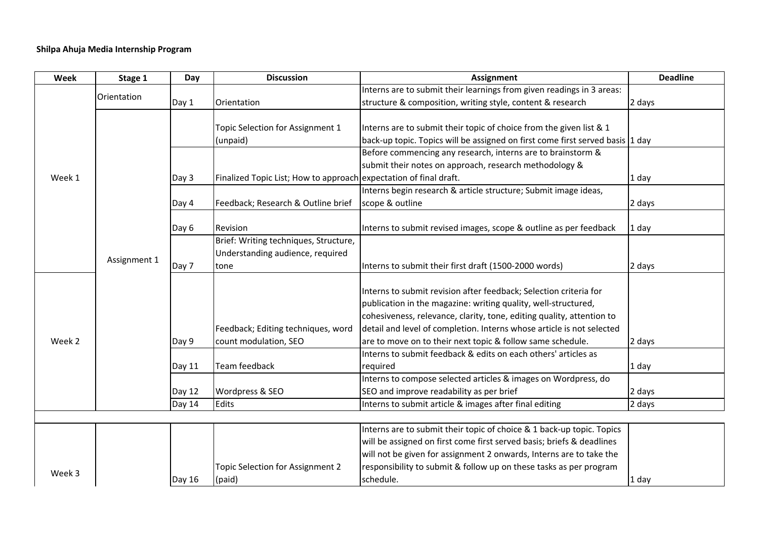| Week   | Stage 1      | Day    | <b>Discussion</b>                                                 | <b>Assignment</b>                                                             | <b>Deadline</b> |
|--------|--------------|--------|-------------------------------------------------------------------|-------------------------------------------------------------------------------|-----------------|
| Week 1 | Orientation  |        |                                                                   | Interns are to submit their learnings from given readings in 3 areas:         |                 |
|        |              | Day 1  | Orientation                                                       | structure & composition, writing style, content & research                    | 2 days          |
|        |              |        |                                                                   |                                                                               |                 |
|        | Assignment 1 |        | Topic Selection for Assignment 1                                  | Interns are to submit their topic of choice from the given list & 1           |                 |
|        |              |        | (unpaid)                                                          | back-up topic. Topics will be assigned on first come first served basis 1 day |                 |
|        |              |        |                                                                   | Before commencing any research, interns are to brainstorm &                   |                 |
|        |              |        |                                                                   | submit their notes on approach, research methodology &                        |                 |
|        |              | Day 3  | Finalized Topic List; How to approach expectation of final draft. |                                                                               | 1 day           |
|        |              |        |                                                                   | Interns begin research & article structure; Submit image ideas,               |                 |
|        |              | Day 4  | Feedback; Research & Outline brief                                | scope & outline                                                               | 2 days          |
|        |              |        |                                                                   |                                                                               |                 |
|        |              | Day 6  | Revision                                                          | Interns to submit revised images, scope & outline as per feedback             | 1 day           |
|        |              |        | Brief: Writing techniques, Structure,                             |                                                                               |                 |
|        |              |        | Understanding audience, required                                  |                                                                               |                 |
|        |              | Day 7  | tone                                                              | Interns to submit their first draft (1500-2000 words)                         | 2 days          |
| Week 2 |              |        |                                                                   |                                                                               |                 |
|        |              |        |                                                                   | Interns to submit revision after feedback; Selection criteria for             |                 |
|        |              |        |                                                                   | publication in the magazine: writing quality, well-structured,                |                 |
|        |              |        |                                                                   | cohesiveness, relevance, clarity, tone, editing quality, attention to         |                 |
|        |              |        | Feedback; Editing techniques, word                                | detail and level of completion. Interns whose article is not selected         |                 |
|        |              | Day 9  | count modulation, SEO                                             | are to move on to their next topic & follow same schedule.                    | 2 days          |
|        |              |        |                                                                   | Interns to submit feedback & edits on each others' articles as                |                 |
|        |              | Day 11 | <b>Team feedback</b>                                              | required                                                                      | 1 day           |
|        |              |        |                                                                   | Interns to compose selected articles & images on Wordpress, do                |                 |
|        |              | Day 12 | Wordpress & SEO                                                   | SEO and improve readability as per brief                                      | 2 days          |
|        |              | Day 14 | Edits                                                             | Interns to submit article & images after final editing                        | 2 days          |
|        |              |        |                                                                   |                                                                               |                 |
|        |              |        |                                                                   | Interns are to submit their topic of choice & 1 back-up topic. Topics         |                 |
| Week 3 |              |        |                                                                   | will be assigned on first come first served basis; briefs & deadlines         |                 |
|        |              |        |                                                                   | will not be given for assignment 2 onwards, Interns are to take the           |                 |
|        |              |        | Topic Selection for Assignment 2                                  | responsibility to submit & follow up on these tasks as per program            |                 |
|        |              | Day 16 | (paid)                                                            | schedule.                                                                     | 1 day           |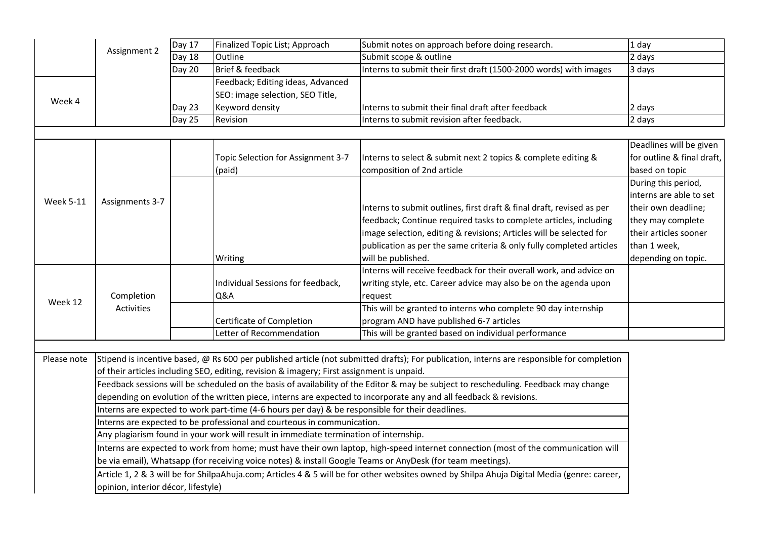|                  | Assignment 2                                                                                                                                                                                                                                               | Day 17                                                                                | Finalized Topic List; Approach                                          | Submit notes on approach before doing research.                                                                                            | 1 day                      |  |  |  |  |
|------------------|------------------------------------------------------------------------------------------------------------------------------------------------------------------------------------------------------------------------------------------------------------|---------------------------------------------------------------------------------------|-------------------------------------------------------------------------|--------------------------------------------------------------------------------------------------------------------------------------------|----------------------------|--|--|--|--|
|                  |                                                                                                                                                                                                                                                            | Day 18                                                                                | Outline                                                                 | Submit scope & outline                                                                                                                     | 2 days                     |  |  |  |  |
|                  |                                                                                                                                                                                                                                                            | Day 20                                                                                | Brief & feedback                                                        | Interns to submit their first draft (1500-2000 words) with images                                                                          | 3 days                     |  |  |  |  |
| Week 4           |                                                                                                                                                                                                                                                            |                                                                                       | Feedback; Editing ideas, Advanced                                       |                                                                                                                                            |                            |  |  |  |  |
|                  |                                                                                                                                                                                                                                                            |                                                                                       | SEO: image selection, SEO Title,                                        |                                                                                                                                            |                            |  |  |  |  |
|                  |                                                                                                                                                                                                                                                            | Day 23                                                                                | Keyword density                                                         | Interns to submit their final draft after feedback                                                                                         | 2 days                     |  |  |  |  |
|                  |                                                                                                                                                                                                                                                            | Day 25                                                                                | Revision                                                                | Interns to submit revision after feedback.                                                                                                 | 2 days                     |  |  |  |  |
|                  |                                                                                                                                                                                                                                                            |                                                                                       |                                                                         |                                                                                                                                            |                            |  |  |  |  |
| <b>Week 5-11</b> | Assignments 3-7                                                                                                                                                                                                                                            |                                                                                       |                                                                         |                                                                                                                                            | Deadlines will be given    |  |  |  |  |
|                  |                                                                                                                                                                                                                                                            |                                                                                       | Topic Selection for Assignment 3-7                                      | Interns to select & submit next 2 topics & complete editing &                                                                              | for outline & final draft, |  |  |  |  |
|                  |                                                                                                                                                                                                                                                            |                                                                                       | (paid)                                                                  | composition of 2nd article                                                                                                                 | based on topic             |  |  |  |  |
|                  |                                                                                                                                                                                                                                                            |                                                                                       |                                                                         |                                                                                                                                            | During this period,        |  |  |  |  |
|                  |                                                                                                                                                                                                                                                            |                                                                                       |                                                                         |                                                                                                                                            | interns are able to set    |  |  |  |  |
|                  |                                                                                                                                                                                                                                                            |                                                                                       |                                                                         | Interns to submit outlines, first draft & final draft, revised as per                                                                      | their own deadline;        |  |  |  |  |
|                  |                                                                                                                                                                                                                                                            |                                                                                       |                                                                         | feedback; Continue required tasks to complete articles, including                                                                          | they may complete          |  |  |  |  |
|                  |                                                                                                                                                                                                                                                            |                                                                                       |                                                                         | image selection, editing & revisions; Articles will be selected for                                                                        | their articles sooner      |  |  |  |  |
|                  |                                                                                                                                                                                                                                                            |                                                                                       |                                                                         | publication as per the same criteria & only fully completed articles                                                                       | than 1 week,               |  |  |  |  |
|                  |                                                                                                                                                                                                                                                            |                                                                                       | Writing                                                                 | will be published.                                                                                                                         | depending on topic.        |  |  |  |  |
| Week 12          | Completion<br><b>Activities</b>                                                                                                                                                                                                                            |                                                                                       |                                                                         | Interns will receive feedback for their overall work, and advice on                                                                        |                            |  |  |  |  |
|                  |                                                                                                                                                                                                                                                            |                                                                                       | Individual Sessions for feedback,                                       | writing style, etc. Career advice may also be on the agenda upon                                                                           |                            |  |  |  |  |
|                  |                                                                                                                                                                                                                                                            |                                                                                       | Q&A                                                                     | request                                                                                                                                    |                            |  |  |  |  |
|                  |                                                                                                                                                                                                                                                            |                                                                                       |                                                                         | This will be granted to interns who complete 90 day internship                                                                             |                            |  |  |  |  |
|                  |                                                                                                                                                                                                                                                            |                                                                                       | Certificate of Completion                                               | program AND have published 6-7 articles                                                                                                    |                            |  |  |  |  |
|                  |                                                                                                                                                                                                                                                            |                                                                                       | Letter of Recommendation                                                | This will be granted based on individual performance                                                                                       |                            |  |  |  |  |
|                  |                                                                                                                                                                                                                                                            |                                                                                       |                                                                         |                                                                                                                                            |                            |  |  |  |  |
| Please note      |                                                                                                                                                                                                                                                            |                                                                                       |                                                                         | Stipend is incentive based, @ Rs 600 per published article (not submitted drafts); For publication, interns are responsible for completion |                            |  |  |  |  |
|                  | of their articles including SEO, editing, revision & imagery; First assignment is unpaid.                                                                                                                                                                  |                                                                                       |                                                                         |                                                                                                                                            |                            |  |  |  |  |
|                  | Feedback sessions will be scheduled on the basis of availability of the Editor & may be subject to rescheduling. Feedback may change<br>depending on evolution of the written piece, interns are expected to incorporate any and all feedback & revisions. |                                                                                       |                                                                         |                                                                                                                                            |                            |  |  |  |  |
|                  |                                                                                                                                                                                                                                                            |                                                                                       |                                                                         |                                                                                                                                            |                            |  |  |  |  |
|                  | Interns are expected to work part-time (4-6 hours per day) & be responsible for their deadlines.                                                                                                                                                           |                                                                                       |                                                                         |                                                                                                                                            |                            |  |  |  |  |
|                  |                                                                                                                                                                                                                                                            |                                                                                       | Interns are expected to be professional and courteous in communication. |                                                                                                                                            |                            |  |  |  |  |
|                  |                                                                                                                                                                                                                                                            | Any plagiarism found in your work will result in immediate termination of internship. |                                                                         |                                                                                                                                            |                            |  |  |  |  |
|                  | Interns are expected to work from home; must have their own laptop, high-speed internet connection (most of the communication will                                                                                                                         |                                                                                       |                                                                         |                                                                                                                                            |                            |  |  |  |  |
|                  | be via email), Whatsapp (for receiving voice notes) & install Google Teams or AnyDesk (for team meetings).                                                                                                                                                 |                                                                                       |                                                                         |                                                                                                                                            |                            |  |  |  |  |
|                  | Article 1, 2 & 3 will be for ShilpaAhuja.com; Articles 4 & 5 will be for other websites owned by Shilpa Ahuja Digital Media (genre: career,                                                                                                                |                                                                                       |                                                                         |                                                                                                                                            |                            |  |  |  |  |
|                  | opinion, interior décor, lifestyle)                                                                                                                                                                                                                        |                                                                                       |                                                                         |                                                                                                                                            |                            |  |  |  |  |